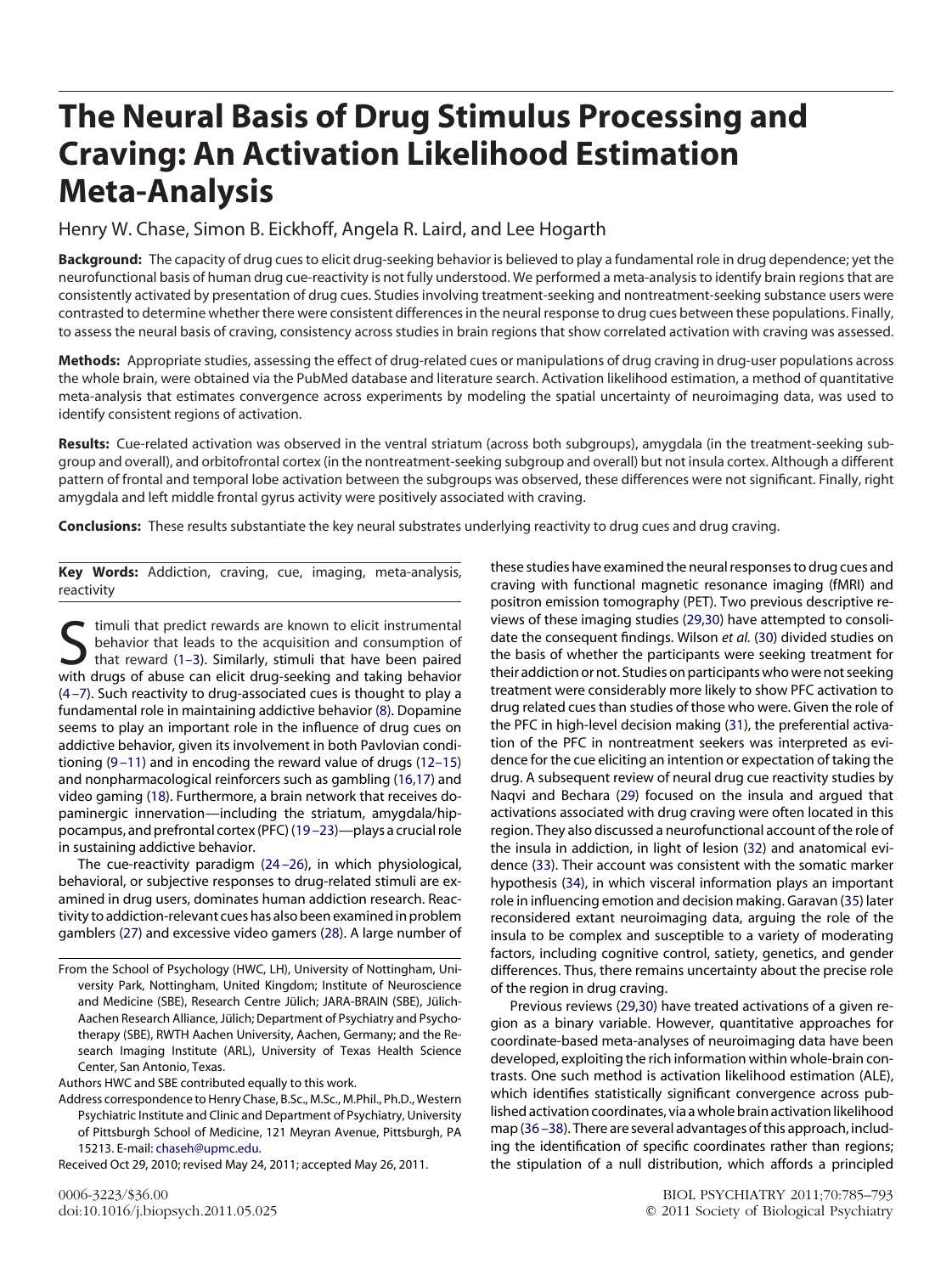# **The Neural Basis of Drug Stimulus Processing and Craving: An Activation Likelihood Estimation Meta-Analysis**

Henry W. Chase, Simon B. Eickhoff, Angela R. Laird, and Lee Hogarth

**Background:** The capacity of drug cues to elicit drug-seeking behavior is believed to play a fundamental role in drug dependence; yet the neurofunctional basis of human drug cue-reactivity is not fully understood. We performed a meta-analysis to identify brain regions that are consistently activated by presentation of drug cues. Studies involving treatment-seeking and nontreatment-seeking substance users were contrasted to determine whether there were consistent differences in the neural response to drug cues between these populations. Finally, to assess the neural basis of craving, consistency across studies in brain regions that show correlated activation with craving was assessed.

**Methods:** Appropriate studies, assessing the effect of drug-related cues or manipulations of drug craving in drug-user populations across the whole brain, were obtained via the PubMed database and literature search. Activation likelihood estimation, a method of quantitative meta-analysis that estimates convergence across experiments by modeling the spatial uncertainty of neuroimaging data, was used to identify consistent regions of activation.

**Results:** Cue-related activation was observed in the ventral striatum (across both subgroups), amygdala (in the treatment-seeking subgroup and overall), and orbitofrontal cortex (in the nontreatment-seeking subgroup and overall) but not insula cortex. Although a different pattern of frontal and temporal lobe activation between the subgroups was observed, these differences were not significant. Finally, right amygdala and left middle frontal gyrus activity were positively associated with craving.

**Conclusions:** These results substantiate the key neural substrates underlying reactivity to drug cues and drug craving.

**Key Words:** Addiction, craving, cue, imaging, meta-analysis, reactivity

Stimuli that predict rewards are known to elicit instrumental<br>that reward (1–3). Similarly, stimuli that have been paired<br>with drugs of abuse can elicit drug-seeking and taking behavior behavior that leads to the acquisition and consumption of with drugs of abuse can elicit drug-seeking and taking behavior [\(4 –7\)](#page-5-1). Such reactivity to drug-associated cues is thought to play a fundamental role in maintaining addictive behavior [\(8\).](#page-5-2) Dopamine seems to play an important role in the influence of drug cues on addictive behavior, given its involvement in both Pavlovian conditioning [\(9 –11\)](#page-5-3) and in encoding the reward value of drugs [\(12–15\)](#page-5-4) and nonpharmacological reinforcers such as gambling [\(16,17\)](#page-5-5) and video gaming [\(18\)](#page-5-6). Furthermore, a brain network that receives dopaminergic innervation—including the striatum, amygdala/hippocampus, and prefrontal cortex (PFC) [\(19 –23\)](#page-5-7)—plays a crucial role in sustaining addictive behavior.

The cue-reactivity paradigm [\(24 –26\)](#page-5-8), in which physiological, behavioral, or subjective responses to drug-related stimuli are examined in drug users, dominates human addiction research. Reactivity to addiction-relevant cues has also been examined in problem gamblers [\(27\)](#page-5-9) and excessive video gamers [\(28\)](#page-6-0). A large number of

Authors HWC and SBE contributed equally to this work.

Address correspondence to Henry Chase, B.Sc., M.Sc., M.Phil., Ph.D., Western Psychiatric Institute and Clinic and Department of Psychiatry, University of Pittsburgh School of Medicine, 121 Meyran Avenue, Pittsburgh, PA 15213. E-mail: [chaseh@upmc.edu.](mailto:chaseh@upmc.edu)

Received Oct 29, 2010; revised May 24, 2011; accepted May 26, 2011.

these studies have examined the neural responses to drug cues and craving with functional magnetic resonance imaging (fMRI) and positron emission tomography (PET). Two previous descriptive reviews of these imaging studies [\(29,30\)](#page-6-1) have attempted to consolidate the consequent findings. Wilson *et al.* [\(30\)](#page-6-2) divided studies on the basis of whether the participants were seeking treatment for their addiction or not. Studies on participants who were not seeking treatment were considerably more likely to show PFC activation to drug related cues than studies of those who were. Given the role of the PFC in high-level decision making [\(31\)](#page-6-3), the preferential activation of the PFC in nontreatment seekers was interpreted as evidence for the cue eliciting an intention or expectation of taking the drug. A subsequent review of neural drug cue reactivity studies by Naqvi and Bechara [\(29\)](#page-6-1) focused on the insula and argued that activations associated with drug craving were often located in this region. They also discussed a neurofunctional account of the role of the insula in addiction, in light of lesion [\(32\)](#page-6-4) and anatomical evidence [\(33\)](#page-6-5). Their account was consistent with the somatic marker hypothesis [\(34\)](#page-6-6), in which visceral information plays an important role in influencing emotion and decision making. Garavan [\(35\)](#page-6-7) later reconsidered extant neuroimaging data, arguing the role of the insula to be complex and susceptible to a variety of moderating factors, including cognitive control, satiety, genetics, and gender differences. Thus, there remains uncertainty about the precise role of the region in drug craving.

Previous reviews [\(29,30\)](#page-6-1) have treated activations of a given region as a binary variable. However, quantitative approaches for coordinate-based meta-analyses of neuroimaging data have been developed, exploiting the rich information within whole-brain contrasts. One such method is activation likelihood estimation (ALE), which identifies statistically significant convergence across published activation coordinates, via a whole brain activation likelihood map [\(36 –38\)](#page-6-8). There are several advantages of this approach, including the identification of specific coordinates rather than regions; the stipulation of a null distribution, which affords a principled

From the School of Psychology (HWC, LH), University of Nottingham, University Park, Nottingham, United Kingdom; Institute of Neuroscience and Medicine (SBE), Research Centre Jülich; JARA-BRAIN (SBE), Jülich-Aachen Research Alliance, Jülich; Department of Psychiatry and Psychotherapy (SBE), RWTH Aachen University, Aachen, Germany; and the Research Imaging Institute (ARL), University of Texas Health Science Center, San Antonio, Texas.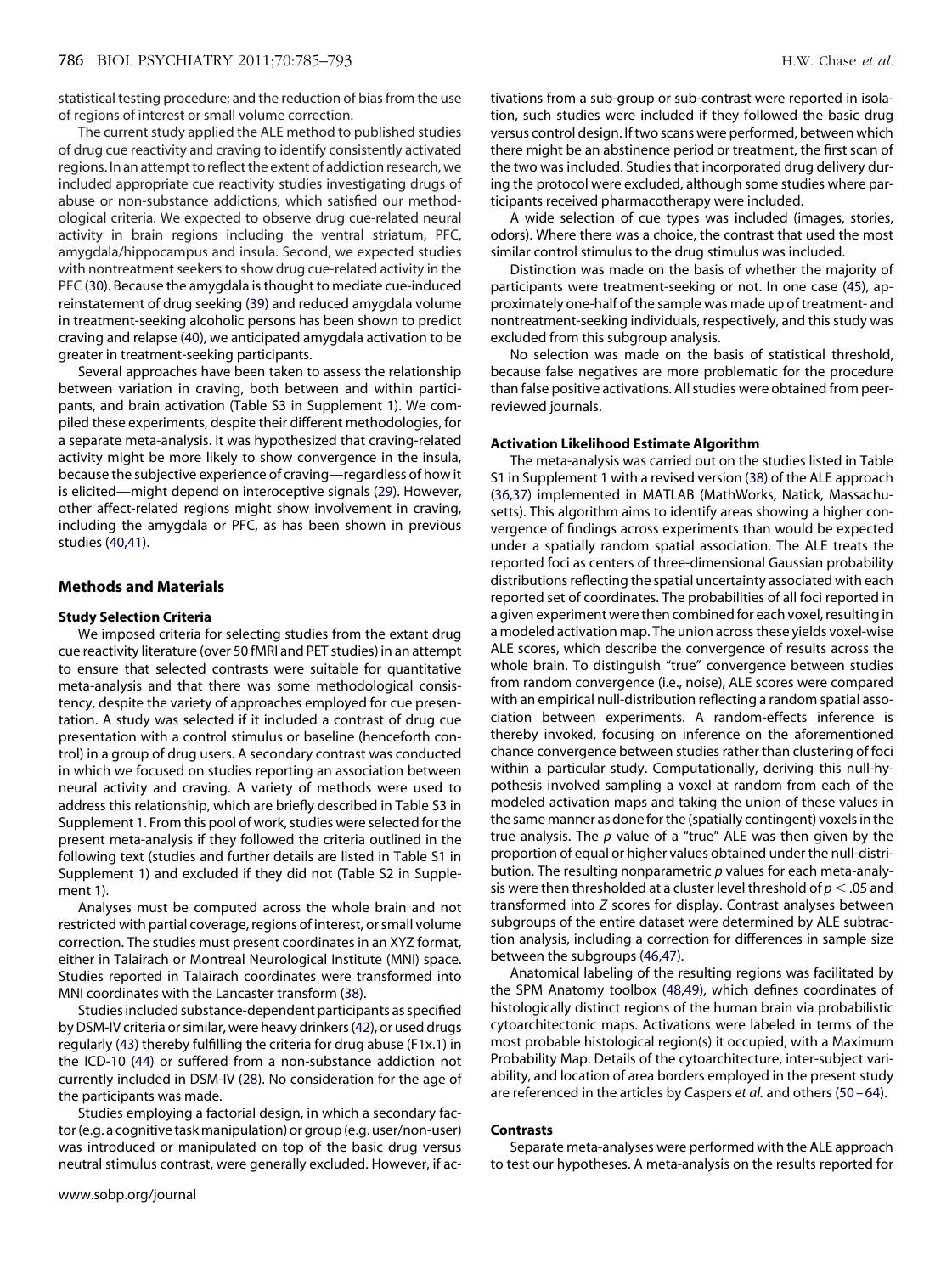statistical testing procedure; and the reduction of bias from the use of regions of interest or small volume correction.

The current study applied the ALE method to published studies of drug cue reactivity and craving to identify consistently activated regions. In an attempt to reflect the extent of addiction research, we included appropriate cue reactivity studies investigating drugs of abuse or non-substance addictions, which satisfied our methodological criteria. We expected to observe drug cue-related neural activity in brain regions including the ventral striatum, PFC, amygdala/hippocampus and insula. Second, we expected studies with nontreatment seekers to show drug cue-related activity in the PFC [\(30\)](#page-6-2). Because the amygdala is thought to mediate cue-induced reinstatement of drug seeking [\(39\)](#page-6-9) and reduced amygdala volume in treatment-seeking alcoholic persons has been shown to predict craving and relapse [\(40\)](#page-6-10), we anticipated amygdala activation to be greater in treatment-seeking participants.

Several approaches have been taken to assess the relationship between variation in craving, both between and within participants, and brain activation (Table S3 in Supplement 1). We compiled these experiments, despite their different methodologies, for a separate meta-analysis. It was hypothesized that craving-related activity might be more likely to show convergence in the insula, because the subjective experience of craving—regardless of how it is elicited—might depend on interoceptive signals [\(29\)](#page-6-1). However, other affect-related regions might show involvement in craving, including the amygdala or PFC, as has been shown in previous studies [\(40,41\)](#page-6-10).

# **Methods and Materials**

# **Study Selection Criteria**

We imposed criteria for selecting studies from the extant drug cue reactivity literature (over 50 fMRI and PET studies) in an attempt to ensure that selected contrasts were suitable for quantitative meta-analysis and that there was some methodological consistency, despite the variety of approaches employed for cue presentation. A study was selected if it included a contrast of drug cue presentation with a control stimulus or baseline (henceforth control) in a group of drug users. A secondary contrast was conducted in which we focused on studies reporting an association between neural activity and craving. A variety of methods were used to address this relationship, which are briefly described in Table S3 in Supplement 1. From this pool of work, studies were selected for the present meta-analysis if they followed the criteria outlined in the following text (studies and further details are listed in Table S1 in Supplement 1) and excluded if they did not (Table S2 in Supplement 1).

Analyses must be computed across the whole brain and not restricted with partial coverage, regions of interest, or small volume correction. The studies must present coordinates in an XYZ format, either in Talairach or Montreal Neurological Institute (MNI) space. Studies reported in Talairach coordinates were transformed into MNI coordinates with the Lancaster transform [\(38\)](#page-6-11).

Studies included substance-dependent participants as specified by DSM-IV criteria or similar, were heavy drinkers [\(42\)](#page-6-12), or used drugs regularly [\(43\)](#page-6-13) thereby fulfilling the criteria for drug abuse (F1x.1) in the ICD-10 [\(44\)](#page-6-14) or suffered from a non-substance addiction not currently included in DSM-IV [\(28\)](#page-6-0). No consideration for the age of the participants was made.

Studies employing a factorial design, in which a secondary factor (e.g. a cognitive task manipulation) or group (e.g. user/non-user) was introduced or manipulated on top of the basic drug versus neutral stimulus contrast, were generally excluded. However, if ac-

tivations from a sub-group or sub-contrast were reported in isolation, such studies were included if they followed the basic drug versus control design. If two scans were performed, between which there might be an abstinence period or treatment, the first scan of the two was included. Studies that incorporated drug delivery during the protocol were excluded, although some studies where participants received pharmacotherapy were included.

A wide selection of cue types was included (images, stories, odors). Where there was a choice, the contrast that used the most similar control stimulus to the drug stimulus was included.

Distinction was made on the basis of whether the majority of participants were treatment-seeking or not. In one case [\(45\)](#page-6-15), approximately one-half of the sample was made up of treatment- and nontreatment-seeking individuals, respectively, and this study was excluded from this subgroup analysis.

No selection was made on the basis of statistical threshold, because false negatives are more problematic for the procedure than false positive activations. All studies were obtained from peerreviewed journals.

# **Activation Likelihood Estimate Algorithm**

The meta-analysis was carried out on the studies listed in Table S1 in Supplement 1 with a revised version [\(38\)](#page-6-11) of the ALE approach [\(36,37\)](#page-6-8) implemented in MATLAB (MathWorks, Natick, Massachusetts). This algorithm aims to identify areas showing a higher convergence of findings across experiments than would be expected under a spatially random spatial association. The ALE treats the reported foci as centers of three-dimensional Gaussian probability distributions reflecting the spatial uncertainty associated with each reported set of coordinates. The probabilities of all foci reported in a given experiment were then combined for each voxel, resulting in a modeled activation map. The union across these yields voxel-wise ALE scores, which describe the convergence of results across the whole brain. To distinguish "true" convergence between studies from random convergence (i.e., noise), ALE scores were compared with an empirical null-distribution reflecting a random spatial association between experiments. A random-effects inference is thereby invoked, focusing on inference on the aforementioned chance convergence between studies rather than clustering of foci within a particular study. Computationally, deriving this null-hypothesis involved sampling a voxel at random from each of the modeled activation maps and taking the union of these values in the same manner as done for the (spatially contingent) voxels in the true analysis. The *p* value of a "true" ALE was then given by the proportion of equal or higher values obtained under the null-distribution. The resulting nonparametric *p* values for each meta-analysis were then thresholded at a cluster level threshold of  $p < .05$  and transformed into *Z* scores for display. Contrast analyses between subgroups of the entire dataset were determined by ALE subtraction analysis, including a correction for differences in sample size between the subgroups [\(46,47\)](#page-6-16).

Anatomical labeling of the resulting regions was facilitated by the SPM Anatomy toolbox [\(48,49\),](#page-6-17) which defines coordinates of histologically distinct regions of the human brain via probabilistic cytoarchitectonic maps. Activations were labeled in terms of the most probable histological region(s) it occupied, with a Maximum Probability Map. Details of the cytoarchitecture, inter-subject variability, and location of area borders employed in the present study are referenced in the articles by Caspers *et al.* and others [\(50 – 64\).](#page-6-18)

# **Contrasts**

Separate meta-analyses were performed with the ALE approach to test our hypotheses. A meta-analysis on the results reported for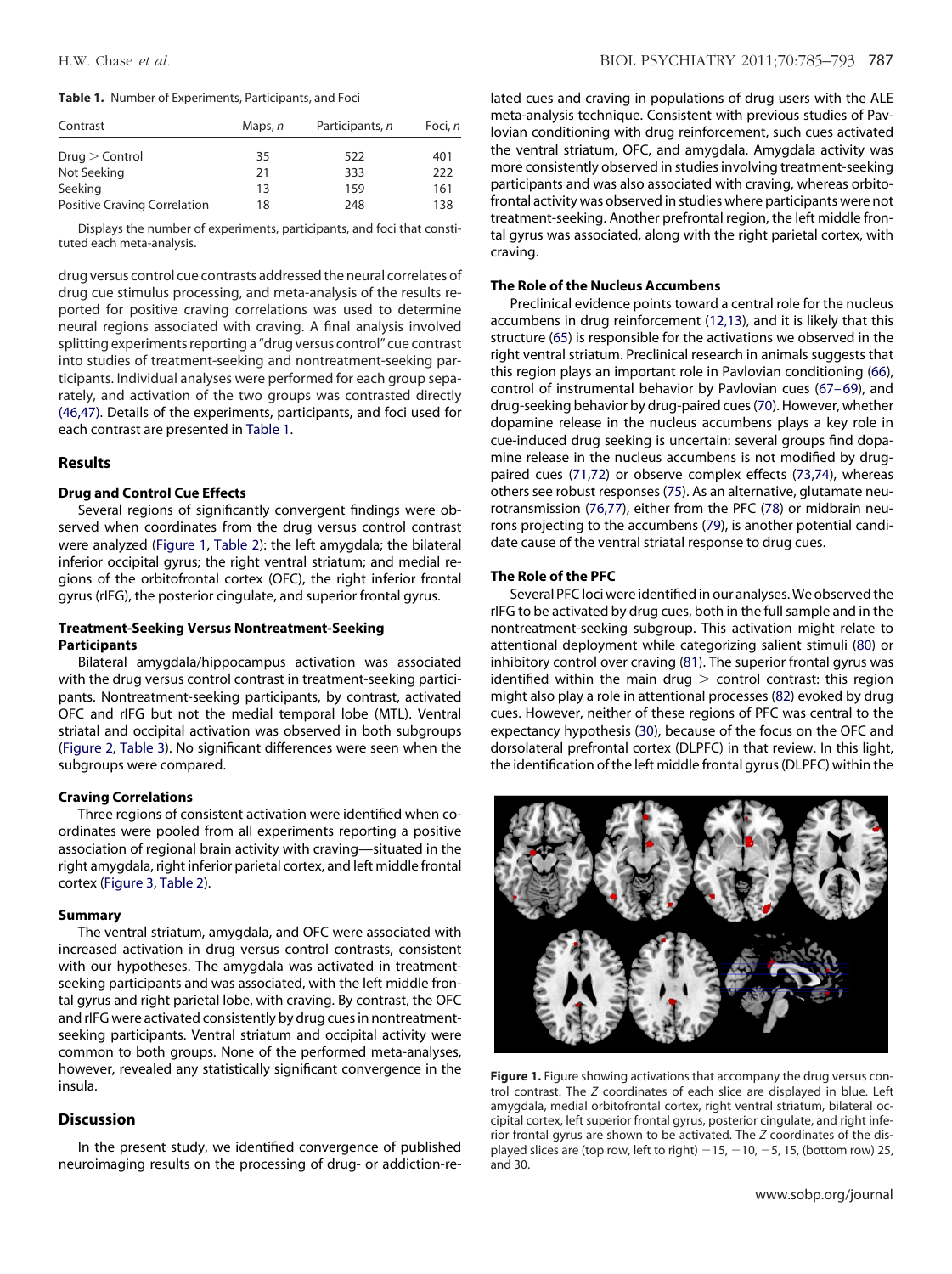# <span id="page-2-0"></span>**Table 1.** Number of Experiments, Participants, and Foci

| Contrast                            | Maps, n | Participants, n | Foci, n |
|-------------------------------------|---------|-----------------|---------|
| $Druq >$ Control                    | 35      | 522             | 401     |
| Not Seeking                         | 21      | 333             | 222     |
| Seeking                             | 13      | 159             | 161     |
| <b>Positive Craving Correlation</b> | 18      | 248             | 138     |

Displays the number of experiments, participants, and foci that constituted each meta-analysis.

drug versus control cue contrasts addressed the neural correlates of drug cue stimulus processing, and meta-analysis of the results reported for positive craving correlations was used to determine neural regions associated with craving. A final analysis involved splitting experiments reporting a "drug versus control" cue contrast into studies of treatment-seeking and nontreatment-seeking participants. Individual analyses were performed for each group separately, and activation of the two groups was contrasted directly [\(46,47\).](#page-6-16) Details of the experiments, participants, and foci used for each contrast are presented in [Table 1.](#page-2-0)

# **Results**

# **Drug and Control Cue Effects**

Several regions of significantly convergent findings were observed when coordinates from the drug versus control contrast were analyzed [\(Figure 1,](#page-2-1) [Table 2\)](#page-3-0): the left amygdala; the bilateral inferior occipital gyrus; the right ventral striatum; and medial regions of the orbitofrontal cortex (OFC), the right inferior frontal gyrus (rIFG), the posterior cingulate, and superior frontal gyrus.

# **Treatment-Seeking Versus Nontreatment-Seeking Participants**

Bilateral amygdala/hippocampus activation was associated with the drug versus control contrast in treatment-seeking participants. Nontreatment-seeking participants, by contrast, activated OFC and rIFG but not the medial temporal lobe (MTL). Ventral striatal and occipital activation was observed in both subgroups [\(Figure 2,](#page-3-1) [Table 3\)](#page-4-0). No significant differences were seen when the subgroups were compared.

# **Craving Correlations**

Three regions of consistent activation were identified when coordinates were pooled from all experiments reporting a positive association of regional brain activity with craving—situated in the right amygdala, right inferior parietal cortex, and left middle frontal cortex [\(Figure 3,](#page-4-1) [Table 2\)](#page-3-0).

### **Summary**

The ventral striatum, amygdala, and OFC were associated with increased activation in drug versus control contrasts, consistent with our hypotheses. The amygdala was activated in treatmentseeking participants and was associated, with the left middle frontal gyrus and right parietal lobe, with craving. By contrast, the OFC and rIFG were activated consistently by drug cues in nontreatmentseeking participants. Ventral striatum and occipital activity were common to both groups. None of the performed meta-analyses, however, revealed any statistically significant convergence in the insula.

# **Discussion**

In the present study, we identified convergence of published neuroimaging results on the processing of drug- or addiction-re-

lated cues and craving in populations of drug users with the ALE meta-analysis technique. Consistent with previous studies of Pavlovian conditioning with drug reinforcement, such cues activated the ventral striatum, OFC, and amygdala. Amygdala activity was more consistently observed in studies involving treatment-seeking participants and was also associated with craving, whereas orbitofrontal activity was observed in studies where participants were not treatment-seeking. Another prefrontal region, the left middle frontal gyrus was associated, along with the right parietal cortex, with craving.

# **The Role of the Nucleus Accumbens**

Preclinical evidence points toward a central role for the nucleus accumbens in drug reinforcement [\(12,13\)](#page-5-4), and it is likely that this structure [\(65\)](#page-6-19) is responsible for the activations we observed in the right ventral striatum. Preclinical research in animals suggests that this region plays an important role in Pavlovian conditioning [\(66\)](#page-6-20), control of instrumental behavior by Pavlovian cues [\(67– 69\)](#page-6-21), and drug-seeking behavior by drug-paired cues [\(70\)](#page-6-22). However, whether dopamine release in the nucleus accumbens plays a key role in cue-induced drug seeking is uncertain: several groups find dopamine release in the nucleus accumbens is not modified by drugpaired cues [\(71,72\)](#page-6-23) or observe complex effects [\(73,74\)](#page-6-24), whereas others see robust responses [\(75\)](#page-7-0). As an alternative, glutamate neurotransmission [\(76,77\)](#page-7-1), either from the PFC [\(78\)](#page-7-2) or midbrain neurons projecting to the accumbens [\(79\)](#page-7-3), is another potential candidate cause of the ventral striatal response to drug cues.

# **The Role of the PFC**

Several PFC loci were identified in our analyses. We observed the rIFG to be activated by drug cues, both in the full sample and in the nontreatment-seeking subgroup. This activation might relate to attentional deployment while categorizing salient stimuli [\(80\)](#page-7-4) or inhibitory control over craving [\(81\)](#page-7-5). The superior frontal gyrus was identified within the main drug  $>$  control contrast: this region might also play a role in attentional processes [\(82\)](#page-7-6) evoked by drug cues. However, neither of these regions of PFC was central to the expectancy hypothesis [\(30\)](#page-6-2), because of the focus on the OFC and dorsolateral prefrontal cortex (DLPFC) in that review. In this light, the identification of the left middle frontal gyrus (DLPFC) within the

<span id="page-2-1"></span>

**Figure 1.** Figure showing activations that accompany the drug versus control contrast. The *Z* coordinates of each slice are displayed in blue. Left amygdala, medial orbitofrontal cortex, right ventral striatum, bilateral occipital cortex, left superior frontal gyrus, posterior cingulate, and right inferior frontal gyrus are shown to be activated. The *Z* coordinates of the displayed slices are (top row, left to right)  $-15$ ,  $-10$ ,  $-5$ , 15, (bottom row) 25, and 30.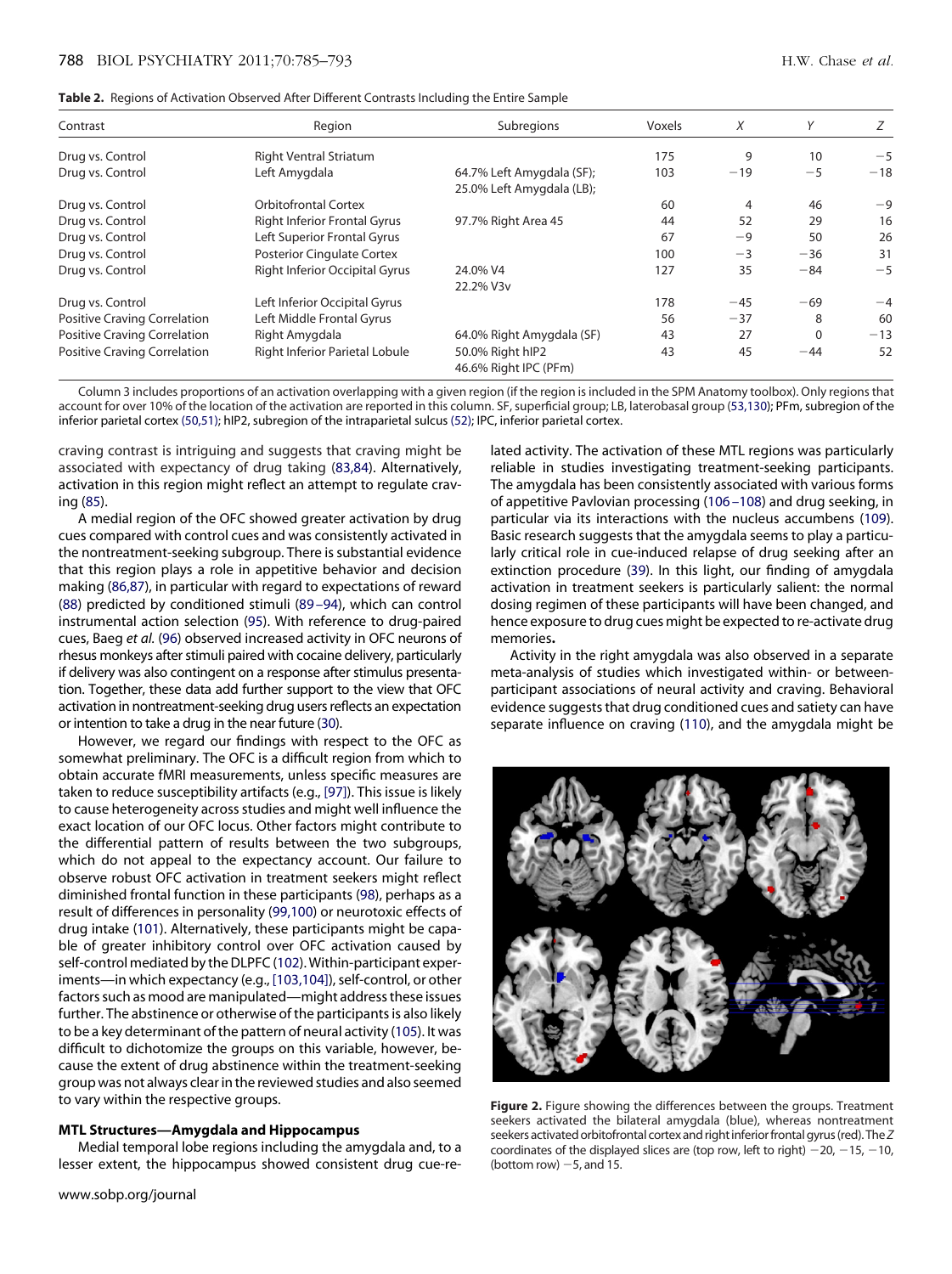<span id="page-3-0"></span>

|  | <b>Table 2.</b> Regions of Activation Observed After Different Contrasts Including the Entire Sample |  |  |  |  |  |  |  |  |  |
|--|------------------------------------------------------------------------------------------------------|--|--|--|--|--|--|--|--|--|
|--|------------------------------------------------------------------------------------------------------|--|--|--|--|--|--|--|--|--|

| Contrast                            | Region                                | Subregions                                             | Voxels | X     | Υ        | Ζ     |
|-------------------------------------|---------------------------------------|--------------------------------------------------------|--------|-------|----------|-------|
| Drug vs. Control                    | <b>Right Ventral Striatum</b>         |                                                        | 175    | 9     | 10       | $-5$  |
| Drug vs. Control                    | Left Amygdala                         | 64.7% Left Amygdala (SF);<br>25.0% Left Amygdala (LB); | 103    | $-19$ | $-5$     | $-18$ |
| Drug vs. Control                    | <b>Orbitofrontal Cortex</b>           |                                                        | 60     | 4     | 46       | $-9$  |
| Drug vs. Control                    | <b>Right Inferior Frontal Gyrus</b>   | 97.7% Right Area 45                                    | 44     | 52    | 29       | 16    |
| Drug vs. Control                    | Left Superior Frontal Gyrus           |                                                        | 67     | $-9$  | 50       | 26    |
| Drug vs. Control                    | <b>Posterior Cinqulate Cortex</b>     |                                                        | 100    | $-3$  | $-36$    | 31    |
| Drug vs. Control                    | <b>Right Inferior Occipital Gyrus</b> | 24.0% V4<br>22.2% V3v                                  | 127    | 35    | $-84$    | $-5$  |
| Drug vs. Control                    | Left Inferior Occipital Gyrus         |                                                        | 178    | $-45$ | $-69$    | $-4$  |
| <b>Positive Craving Correlation</b> | Left Middle Frontal Gyrus             |                                                        | 56     | $-37$ | 8        | 60    |
| <b>Positive Craving Correlation</b> | Right Amygdala                        | 64.0% Right Amygdala (SF)                              | 43     | 27    | $\Omega$ | $-13$ |
| <b>Positive Craving Correlation</b> | <b>Right Inferior Parietal Lobule</b> | 50.0% Right hIP2<br>46.6% Right IPC (PFm)              | 43     | 45    | $-44$    | 52    |

Column 3 includes proportions of an activation overlapping with a given region (if the region is included in the SPM Anatomy toolbox). Only regions that account for over 10% of the location of the activation are reported in this column. SF, superficial group; LB, laterobasal group [\(53,130\)](#page-6-25); PFm, subregion of the inferior parietal cortex [\(50,51\);](#page-6-18) hIP2, subregion of the intraparietal sulcus [\(52\);](#page-6-26) IPC, inferior parietal cortex.

craving contrast is intriguing and suggests that craving might be associated with expectancy of drug taking [\(83,84\)](#page-7-7). Alternatively, activation in this region might reflect an attempt to regulate craving [\(85\)](#page-7-8).

A medial region of the OFC showed greater activation by drug cues compared with control cues and was consistently activated in the nontreatment-seeking subgroup. There is substantial evidence that this region plays a role in appetitive behavior and decision making [\(86,87\)](#page-7-9), in particular with regard to expectations of reward [\(88\)](#page-7-10) predicted by conditioned stimuli [\(89 –94\)](#page-7-11), which can control instrumental action selection [\(95\)](#page-7-12). With reference to drug-paired cues, Baeg *et al.* [\(96\)](#page-7-13) observed increased activity in OFC neurons of rhesus monkeys after stimuli paired with cocaine delivery, particularly if delivery was also contingent on a response after stimulus presentation. Together, these data add further support to the view that OFC activation in nontreatment-seeking drug users reflects an expectation or intention to take a drug in the near future [\(30\)](#page-6-2).

However, we regard our findings with respect to the OFC as somewhat preliminary. The OFC is a difficult region from which to obtain accurate fMRI measurements, unless specific measures are taken to reduce susceptibility artifacts (e.g., [\[97\]\)](#page-7-14). This issue is likely to cause heterogeneity across studies and might well influence the exact location of our OFC locus. Other factors might contribute to the differential pattern of results between the two subgroups, which do not appeal to the expectancy account. Our failure to observe robust OFC activation in treatment seekers might reflect diminished frontal function in these participants [\(98\)](#page-7-15), perhaps as a result of differences in personality [\(99,100\)](#page-7-16) or neurotoxic effects of drug intake [\(101\)](#page-7-17). Alternatively, these participants might be capable of greater inhibitory control over OFC activation caused by self-control mediated by the DLPFC [\(102\)](#page-7-18). Within-participant experiments—in which expectancy (e.g., [\[103,104\]\)](#page-7-19), self-control, or other factors such as mood are manipulated—might address these issues further. The abstinence or otherwise of the participants is also likely to be a key determinant of the pattern of neural activity [\(105\)](#page-7-20). It was difficult to dichotomize the groups on this variable, however, because the extent of drug abstinence within the treatment-seeking group was not always clear in the reviewed studies and also seemed to vary within the respective groups.

# **MTL Structures—Amygdala and Hippocampus**

Medial temporal lobe regions including the amygdala and, to a lesser extent, the hippocampus showed consistent drug cue-re-

lated activity. The activation of these MTL regions was particularly reliable in studies investigating treatment-seeking participants. The amygdala has been consistently associated with various forms of appetitive Pavlovian processing [\(106 –108\)](#page-7-21) and drug seeking, in particular via its interactions with the nucleus accumbens [\(109\)](#page-7-22). Basic research suggests that the amygdala seems to play a particularly critical role in cue-induced relapse of drug seeking after an extinction procedure [\(39\)](#page-6-9). In this light, our finding of amygdala activation in treatment seekers is particularly salient: the normal dosing regimen of these participants will have been changed, and hence exposure to drug cues might be expected to re-activate drug memories**.**

Activity in the right amygdala was also observed in a separate meta-analysis of studies which investigated within- or betweenparticipant associations of neural activity and craving. Behavioral evidence suggests that drug conditioned cues and satiety can have separate influence on craving [\(110\)](#page-7-23), and the amygdala might be

<span id="page-3-1"></span>**Figure 2.** Figure showing the differences between the groups. Treatment seekers activated the bilateral amygdala (blue), whereas nontreatment seekers activated orbitofrontal cortex and right inferiorfrontal gyrus(red).The*Z* coordinates of the displayed slices are (top row, left to right)  $-20$ ,  $-15$ ,  $-10$ , (bottom row)  $-5$ , and 15.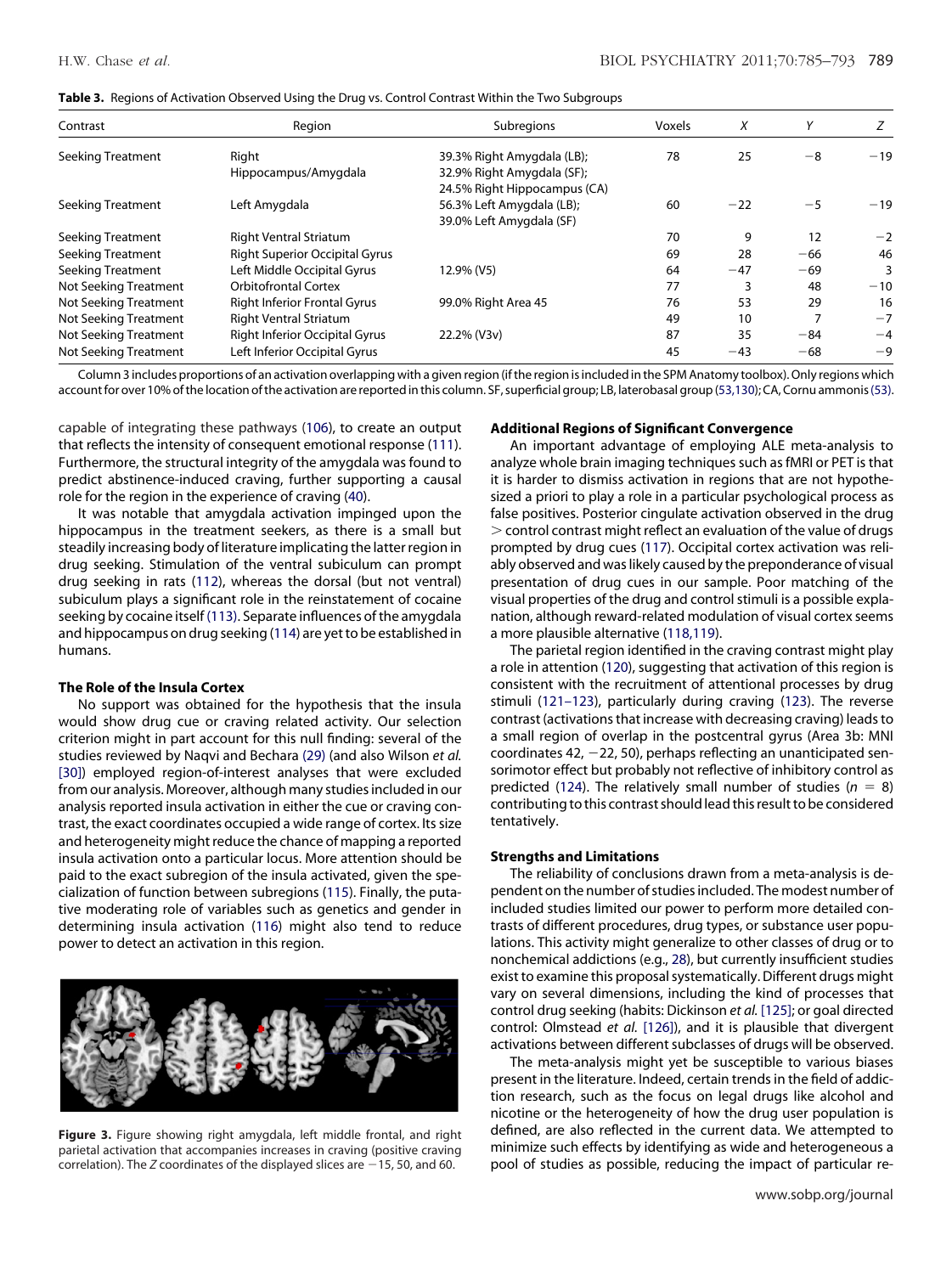<span id="page-4-0"></span>

|  |  |  |  | Table 3. Regions of Activation Observed Using the Drug vs. Control Contrast Within the Two Subgroups |
|--|--|--|--|------------------------------------------------------------------------------------------------------|
|  |  |  |  |                                                                                                      |

| Contrast                 | Region                                | Subregions                   |    | X     | Υ     |       |
|--------------------------|---------------------------------------|------------------------------|----|-------|-------|-------|
| Seeking Treatment        | Right                                 | 39.3% Right Amygdala (LB);   | 78 | 25    | $-8$  | $-19$ |
|                          | Hippocampus/Amygdala                  | 32.9% Right Amygdala (SF);   |    |       |       |       |
|                          |                                       | 24.5% Right Hippocampus (CA) |    |       |       |       |
| Seeking Treatment        | Left Amygdala                         | 56.3% Left Amygdala (LB);    | 60 | $-22$ | $-5$  | $-19$ |
|                          |                                       | 39.0% Left Amygdala (SF)     |    |       |       |       |
| Seeking Treatment        | <b>Right Ventral Striatum</b>         |                              | 70 | 9     | 12    | $-2$  |
| Seeking Treatment        | <b>Right Superior Occipital Gyrus</b> |                              | 69 | 28    | $-66$ | 46    |
| <b>Seeking Treatment</b> | Left Middle Occipital Gyrus           | 12.9% (V5)                   | 64 | $-47$ | $-69$ |       |
| Not Seeking Treatment    | <b>Orbitofrontal Cortex</b>           |                              | 77 | 3     | 48    | $-10$ |
| Not Seeking Treatment    | <b>Right Inferior Frontal Gyrus</b>   | 99.0% Right Area 45          | 76 | 53    | 29    | 16    |
| Not Seeking Treatment    | <b>Right Ventral Striatum</b>         |                              | 49 | 10    |       | $-7$  |
| Not Seeking Treatment    | <b>Right Inferior Occipital Gyrus</b> | 22.2% (V3v)                  | 87 | 35    | $-84$ | $-4$  |
| Not Seeking Treatment    | Left Inferior Occipital Gyrus         |                              | 45 | $-43$ | $-68$ | $-9$  |

Column 3 includes proportions of an activation overlapping with a given region (if the region is included in the SPM Anatomy toolbox). Only regions which account for over 10% of the location of the activation are reported in this column. SF, superficial group; LB, laterobasal group [\(53,130\)](#page-6-25); CA, Cornu ammonis (53).

capable of integrating these pathways [\(106\)](#page-7-21), to create an output that reflects the intensity of consequent emotional response [\(111\)](#page-7-24). Furthermore, the structural integrity of the amygdala was found to predict abstinence-induced craving, further supporting a causal role for the region in the experience of craving [\(40\)](#page-6-10).

It was notable that amygdala activation impinged upon the hippocampus in the treatment seekers, as there is a small but steadily increasing body of literature implicating the latter region in drug seeking. Stimulation of the ventral subiculum can prompt drug seeking in rats [\(112\)](#page-7-25), whereas the dorsal (but not ventral) subiculum plays a significant role in the reinstatement of cocaine seeking by cocaine itself [\(113\).](#page-7-26) Separate influences of the amygdala and hippocampus on drug seeking [\(114\)](#page-7-27) are yet to be established in humans.

# **The Role of the Insula Cortex**

No support was obtained for the hypothesis that the insula would show drug cue or craving related activity. Our selection criterion might in part account for this null finding: several of the studies reviewed by Naqvi and Bechara [\(29\)](#page-6-1) (and also Wilson *et al.* [\[30\]\)](#page-6-2) employed region-of-interest analyses that were excluded from our analysis. Moreover, although many studies included in our analysis reported insula activation in either the cue or craving contrast, the exact coordinates occupied a wide range of cortex. Its size and heterogeneity might reduce the chance of mapping a reported insula activation onto a particular locus. More attention should be paid to the exact subregion of the insula activated, given the specialization of function between subregions [\(115\)](#page-7-28). Finally, the putative moderating role of variables such as genetics and gender in determining insula activation [\(116\)](#page-7-29) might also tend to reduce power to detect an activation in this region.

<span id="page-4-1"></span>**Figure 3.** Figure showing right amygdala, left middle frontal, and right parietal activation that accompanies increases in craving (positive craving correlation). The  $Z$  coordinates of the displayed slices are  $-15$ , 50, and 60.

# **Additional Regions of Significant Convergence**

An important advantage of employing ALE meta-analysis to analyze whole brain imaging techniques such as fMRI or PET is that it is harder to dismiss activation in regions that are not hypothesized a priori to play a role in a particular psychological process as false positives. Posterior cingulate activation observed in the drug - control contrast might reflect an evaluation of the value of drugs prompted by drug cues [\(117\)](#page-7-30). Occipital cortex activation was reliably observed and was likely caused by the preponderance of visual presentation of drug cues in our sample. Poor matching of the visual properties of the drug and control stimuli is a possible explanation, although reward-related modulation of visual cortex seems a more plausible alternative [\(118,119\)](#page-7-31).

The parietal region identified in the craving contrast might play a role in attention [\(120\)](#page-8-0), suggesting that activation of this region is consistent with the recruitment of attentional processes by drug stimuli [\(121–123\)](#page-8-1), particularly during craving [\(123\)](#page-8-2). The reverse contrast (activations that increase with decreasing craving) leads to a small region of overlap in the postcentral gyrus (Area 3b: MNI coordinates 42,  $-22$ , 50), perhaps reflecting an unanticipated sensorimotor effect but probably not reflective of inhibitory control as predicted [\(124\)](#page-8-3). The relatively small number of studies ( $n = 8$ ) contributing to this contrast should lead this result to be considered tentatively.

# **Strengths and Limitations**

The reliability of conclusions drawn from a meta-analysis is dependent on the number of studies included. The modest number of included studies limited our power to perform more detailed contrasts of different procedures, drug types, or substance user populations. This activity might generalize to other classes of drug or to nonchemical addictions (e.g., [28\)](#page-6-0), but currently insufficient studies exist to examine this proposal systematically. Different drugs might vary on several dimensions, including the kind of processes that control drug seeking (habits: Dickinson *et al.* [\[125\];](#page-8-4) or goal directed control: Olmstead *et al.* [\[126\]\)](#page-8-5), and it is plausible that divergent activations between different subclasses of drugs will be observed.

The meta-analysis might yet be susceptible to various biases present in the literature. Indeed, certain trends in the field of addiction research, such as the focus on legal drugs like alcohol and nicotine or the heterogeneity of how the drug user population is defined, are also reflected in the current data. We attempted to minimize such effects by identifying as wide and heterogeneous a pool of studies as possible, reducing the impact of particular re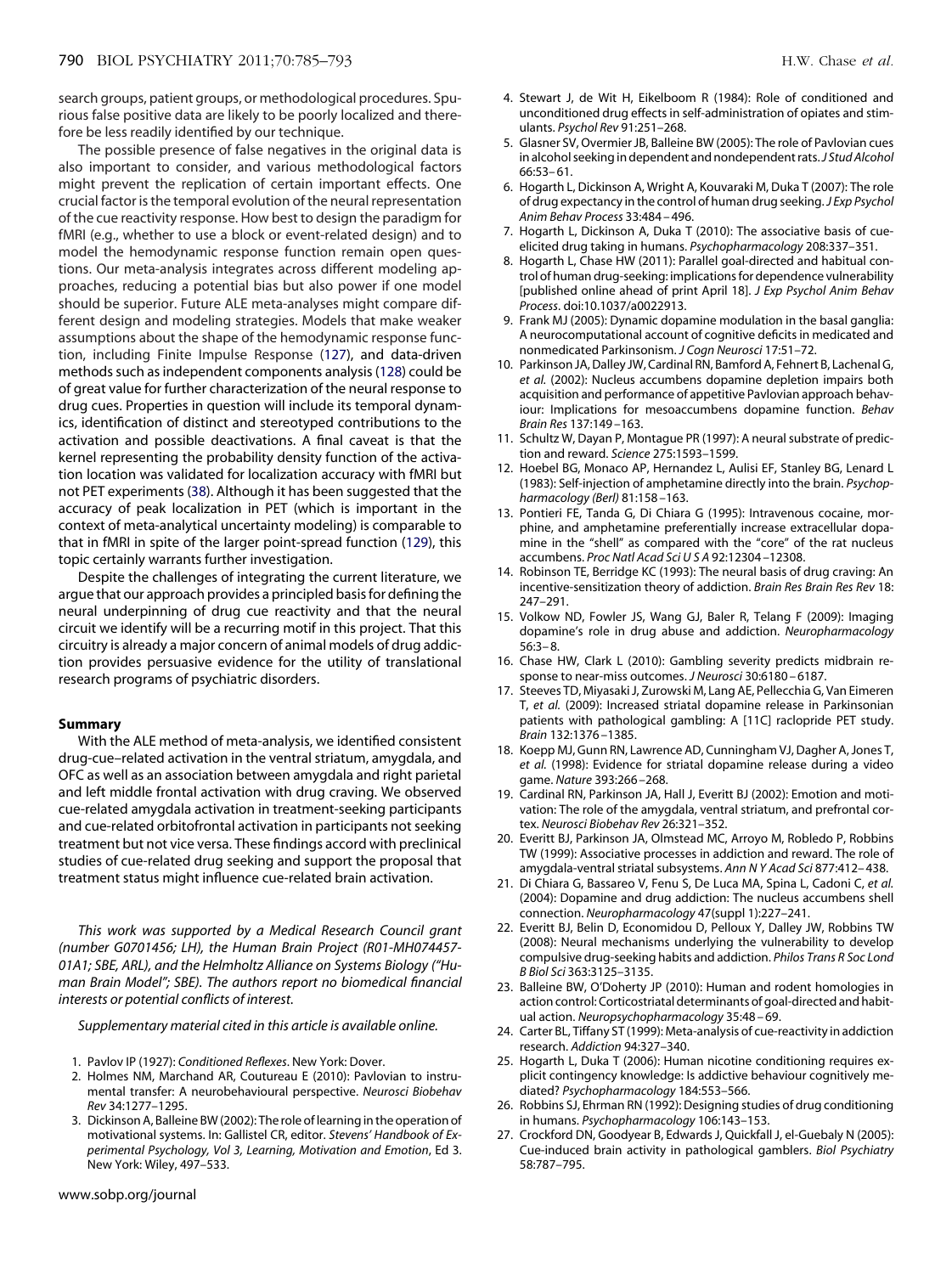search groups, patient groups, or methodological procedures. Spurious false positive data are likely to be poorly localized and therefore be less readily identified by our technique.

The possible presence of false negatives in the original data is also important to consider, and various methodological factors might prevent the replication of certain important effects. One crucial factor is the temporal evolution of the neural representation of the cue reactivity response. How best to design the paradigm for fMRI (e.g., whether to use a block or event-related design) and to model the hemodynamic response function remain open questions. Our meta-analysis integrates across different modeling approaches, reducing a potential bias but also power if one model should be superior. Future ALE meta-analyses might compare different design and modeling strategies. Models that make weaker assumptions about the shape of the hemodynamic response function, including Finite Impulse Response [\(127\)](#page-8-6), and data-driven methods such as independent components analysis [\(128\)](#page-8-7) could be of great value for further characterization of the neural response to drug cues. Properties in question will include its temporal dynamics, identification of distinct and stereotyped contributions to the activation and possible deactivations. A final caveat is that the kernel representing the probability density function of the activation location was validated for localization accuracy with fMRI but not PET experiments [\(38\)](#page-6-11). Although it has been suggested that the accuracy of peak localization in PET (which is important in the context of meta-analytical uncertainty modeling) is comparable to that in fMRI in spite of the larger point-spread function [\(129\)](#page-8-8), this topic certainly warrants further investigation.

Despite the challenges of integrating the current literature, we argue that our approach provides a principled basis for defining the neural underpinning of drug cue reactivity and that the neural circuit we identify will be a recurring motif in this project. That this circuitry is already a major concern of animal models of drug addiction provides persuasive evidence for the utility of translational research programs of psychiatric disorders.

# **Summary**

With the ALE method of meta-analysis, we identified consistent drug-cue–related activation in the ventral striatum, amygdala, and OFC as well as an association between amygdala and right parietal and left middle frontal activation with drug craving. We observed cue-related amygdala activation in treatment-seeking participants and cue-related orbitofrontal activation in participants not seeking treatment but not vice versa. These findings accord with preclinical studies of cue-related drug seeking and support the proposal that treatment status might influence cue-related brain activation.

*This work was supported by a Medical Research Council grant (number G0701456; LH), the Human Brain Project (R01-MH074457- 01A1; SBE, ARL), and the Helmholtz Alliance on Systems Biology ("Human Brain Model"; SBE). The authors report no biomedical financial interests or potential conflicts of interest.*

*Supplementary material cited in this article is available online.*

- <span id="page-5-0"></span>1. Pavlov IP (1927): *Conditioned Reflexes*. New York: Dover.
- 2. Holmes NM, Marchand AR, Coutureau E (2010): Pavlovian to instrumental transfer: A neurobehavioural perspective. *Neurosci Biobehav Rev* 34:1277–1295.
- 3. Dickinson A, Balleine BW (2002): The role of learning in the operation of motivational systems. In: Gallistel CR, editor. *Stevens' Handbook of Experimental Psychology, Vol 3, Learning, Motivation and Emotion*, Ed 3. New York: Wiley, 497–533.
- <span id="page-5-1"></span>4. Stewart J, de Wit H, Eikelboom R (1984): Role of conditioned and unconditioned drug effects in self-administration of opiates and stimulants. *Psychol Rev* 91:251–268.
- 5. Glasner SV, Overmier JB, Balleine BW (2005): The role of Pavlovian cues in alcohol seeking in dependent and nondependent rats.*J Stud Alcohol* 66:53– 61.
- 6. Hogarth L, Dickinson A, Wright A, Kouvaraki M, Duka T (2007): The role of drug expectancy in the control of human drug seeking.*J Exp Psychol Anim Behav Process* 33:484 – 496.
- <span id="page-5-2"></span>7. Hogarth L, Dickinson A, Duka T (2010): The associative basis of cueelicited drug taking in humans. *Psychopharmacology* 208:337–351.
- 8. Hogarth L, Chase HW (2011): Parallel goal-directed and habitual control of human drug-seeking: implications for dependence vulnerability [published online ahead of print April 18]. *J Exp Psychol Anim Behav Process*. doi:10.1037/a0022913.
- <span id="page-5-3"></span>9. Frank MJ (2005): Dynamic dopamine modulation in the basal ganglia: A neurocomputational account of cognitive deficits in medicated and nonmedicated Parkinsonism. *J Cogn Neurosci* 17:51–72.
- 10. Parkinson JA, Dalley JW, Cardinal RN, Bamford A, Fehnert B, Lachenal G, *et al.* (2002): Nucleus accumbens dopamine depletion impairs both acquisition and performance of appetitive Pavlovian approach behaviour: Implications for mesoaccumbens dopamine function. *Behav Brain Res* 137:149 –163.
- <span id="page-5-4"></span>11. Schultz W, Dayan P, Montague PR (1997): A neural substrate of prediction and reward. *Science* 275:1593–1599.
- 12. Hoebel BG, Monaco AP, Hernandez L, Aulisi EF, Stanley BG, Lenard L (1983): Self-injection of amphetamine directly into the brain. *Psychopharmacology (Berl)* 81:158 –163.
- 13. Pontieri FE, Tanda G, Di Chiara G (1995): Intravenous cocaine, morphine, and amphetamine preferentially increase extracellular dopamine in the "shell" as compared with the "core" of the rat nucleus accumbens. *Proc Natl Acad SciUSA* 92:12304 –12308.
- 14. Robinson TE, Berridge KC (1993): The neural basis of drug craving: An incentive-sensitization theory of addiction. *Brain Res Brain Res Rev* 18: 247–291.
- <span id="page-5-5"></span>15. Volkow ND, Fowler JS, Wang GJ, Baler R, Telang F (2009): Imaging dopamine's role in drug abuse and addiction. *Neuropharmacology* 56:3– 8.
- 16. Chase HW, Clark L (2010): Gambling severity predicts midbrain response to near-miss outcomes. *J Neurosci* 30:6180 – 6187.
- 17. Steeves TD, Miyasaki J, Zurowski M, Lang AE, Pellecchia G, Van Eimeren T, *et al.* (2009): Increased striatal dopamine release in Parkinsonian patients with pathological gambling: A [11C] raclopride PET study. *Brain* 132:1376 –1385.
- <span id="page-5-6"></span>18. Koepp MJ, Gunn RN, Lawrence AD, Cunningham VJ, Dagher A, Jones T, *et al.* (1998): Evidence for striatal dopamine release during a video game. *Nature* 393:266 –268.
- <span id="page-5-7"></span>19. Cardinal RN, Parkinson JA, Hall J, Everitt BJ (2002): Emotion and motivation: The role of the amygdala, ventral striatum, and prefrontal cortex. *Neurosci Biobehav Rev* 26:321–352.
- 20. Everitt BJ, Parkinson JA, Olmstead MC, Arroyo M, Robledo P, Robbins TW (1999): Associative processes in addiction and reward. The role of amygdala-ventral striatal subsystems. *Ann N Y Acad Sci* 877:412– 438.
- 21. Di Chiara G, Bassareo V, Fenu S, De Luca MA, Spina L, Cadoni C, *et al.* (2004): Dopamine and drug addiction: The nucleus accumbens shell connection. *Neuropharmacology* 47(suppl 1):227–241.
- 22. Everitt BJ, Belin D, Economidou D, Pelloux Y, Dalley JW, Robbins TW (2008): Neural mechanisms underlying the vulnerability to develop compulsive drug-seeking habits and addiction. *Philos Trans R Soc Lond B Biol Sci* 363:3125–3135.
- <span id="page-5-8"></span>23. Balleine BW, O'Doherty JP (2010): Human and rodent homologies in action control: Corticostriatal determinants of goal-directed and habitual action. *Neuropsychopharmacology* 35:48 – 69.
- 24. Carter BL, Tiffany ST (1999): Meta-analysis of cue-reactivity in addiction research. *Addiction* 94:327–340.
- 25. Hogarth L, Duka T (2006): Human nicotine conditioning requires explicit contingency knowledge: Is addictive behaviour cognitively mediated? *Psychopharmacology* 184:553–566.
- <span id="page-5-9"></span>26. Robbins SJ, Ehrman RN (1992): Designing studies of drug conditioning in humans. *Psychopharmacology* 106:143–153.
- 27. Crockford DN, Goodyear B, Edwards J, Quickfall J, el-Guebaly N (2005): Cue-induced brain activity in pathological gamblers. *Biol Psychiatry* 58:787–795.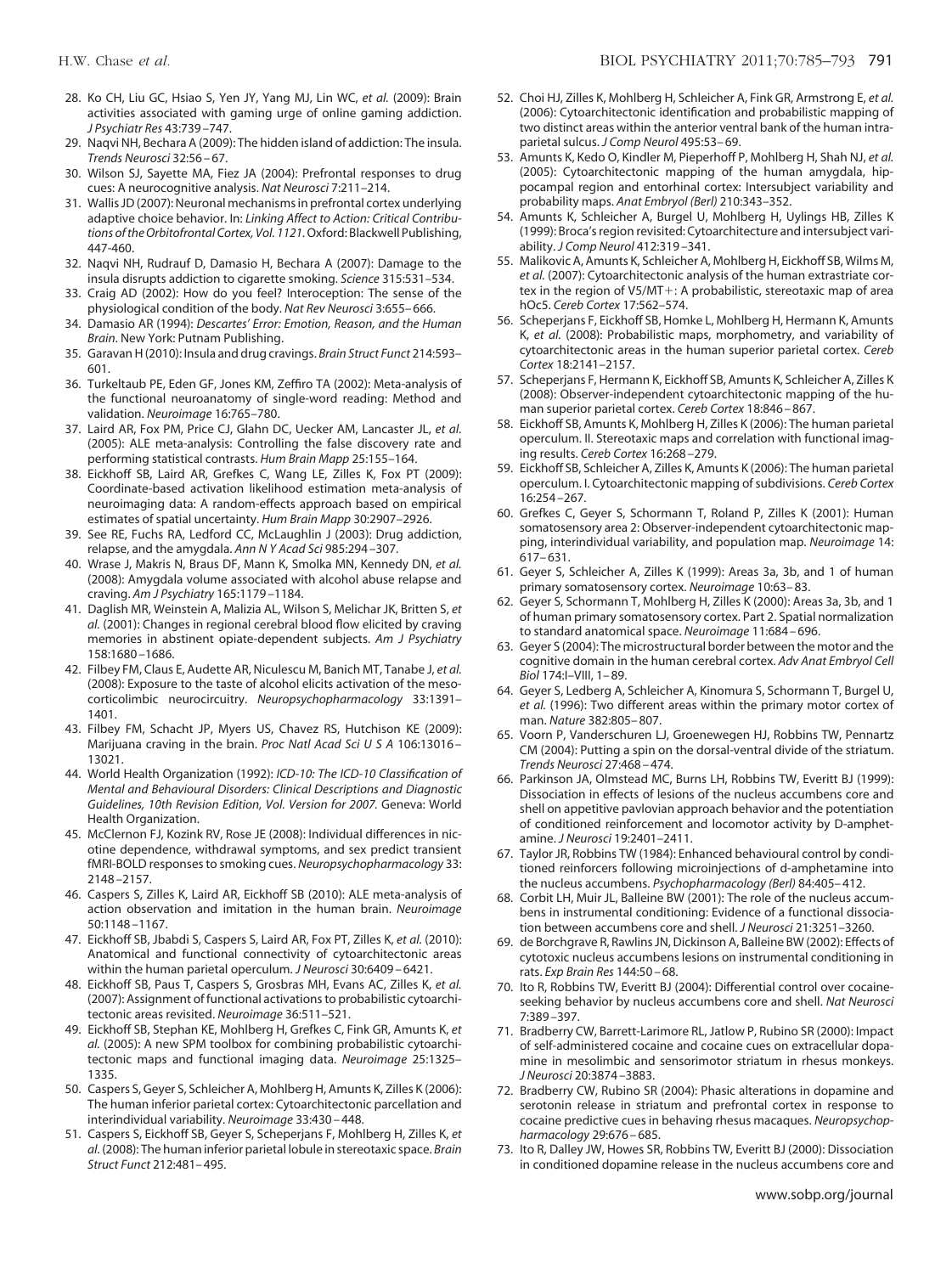- <span id="page-6-0"></span>28. Ko CH, Liu GC, Hsiao S, Yen JY, Yang MJ, Lin WC, *et al.* (2009): Brain activities associated with gaming urge of online gaming addiction. *J Psychiatr Res* 43:739 –747.
- <span id="page-6-2"></span><span id="page-6-1"></span>29. Naqvi NH, Bechara A (2009): The hidden island of addiction: The insula. *Trends Neurosci* 32:56 – 67.
- <span id="page-6-3"></span>30. Wilson SJ, Sayette MA, Fiez JA (2004): Prefrontal responses to drug cues: A neurocognitive analysis. *Nat Neurosci* 7:211–214.
- 31. Wallis JD (2007): Neuronal mechanisms in prefrontal cortex underlying adaptive choice behavior. In: *Linking Affect to Action: Critical Contributions of the Orbitofrontal Cortex, Vol. 1121.*Oxford: Blackwell Publishing, 447-460.
- <span id="page-6-5"></span><span id="page-6-4"></span>32. Naqvi NH, Rudrauf D, Damasio H, Bechara A (2007): Damage to the insula disrupts addiction to cigarette smoking. *Science* 315:531–534.
- <span id="page-6-6"></span>33. Craig AD (2002): How do you feel? Interoception: The sense of the physiological condition of the body. *Nat Rev Neurosci* 3:655– 666.
- <span id="page-6-7"></span>34. Damasio AR (1994): *Descartes' Error: Emotion, Reason, and the Human Brain*. New York: Putnam Publishing.
- <span id="page-6-8"></span>35. Garavan H (2010): Insula and drug cravings. *Brain Struct Funct* 214:593– 601.
- 36. Turkeltaub PE, Eden GF, Jones KM, Zeffiro TA (2002): Meta-analysis of the functional neuroanatomy of single-word reading: Method and validation. *Neuroimage* 16:765–780.
- 37. Laird AR, Fox PM, Price CJ, Glahn DC, Uecker AM, Lancaster JL, *et al.* (2005): ALE meta-analysis: Controlling the false discovery rate and performing statistical contrasts. *Hum Brain Mapp* 25:155–164.
- <span id="page-6-11"></span>38. Eickhoff SB, Laird AR, Grefkes C, Wang LE, Zilles K, Fox PT (2009): Coordinate-based activation likelihood estimation meta-analysis of neuroimaging data: A random-effects approach based on empirical estimates of spatial uncertainty. *Hum Brain Mapp* 30:2907–2926.
- <span id="page-6-10"></span><span id="page-6-9"></span>39. See RE, Fuchs RA, Ledford CC, McLaughlin J (2003): Drug addiction, relapse, and the amygdala. *Ann N Y Acad Sci* 985:294 –307.
- 40. Wrase J, Makris N, Braus DF, Mann K, Smolka MN, Kennedy DN, *et al.* (2008): Amygdala volume associated with alcohol abuse relapse and craving. *Am J Psychiatry* 165:1179 –1184.
- 41. Daglish MR, Weinstein A, Malizia AL, Wilson S, Melichar JK, Britten S, *et al.* (2001): Changes in regional cerebral blood flow elicited by craving memories in abstinent opiate-dependent subjects. *Am J Psychiatry* 158:1680 –1686.
- <span id="page-6-12"></span>42. Filbey FM, Claus E, Audette AR, Niculescu M, Banich MT, Tanabe J, *et al.* (2008): Exposure to the taste of alcohol elicits activation of the mesocorticolimbic neurocircuitry. *Neuropsychopharmacology* 33:1391– 1401.
- <span id="page-6-13"></span>43. Filbey FM, Schacht JP, Myers US, Chavez RS, Hutchison KE (2009): Marijuana craving in the brain. Proc Natl Acad Sci U S A 106:13016 -13021.
- <span id="page-6-14"></span>44. World Health Organization (1992): *ICD-10: The ICD-10 Classification of Mental and Behavioural Disorders: Clinical Descriptions and Diagnostic Guidelines, 10th Revision Edition, Vol. Version for 2007.* Geneva: World Health Organization.
- <span id="page-6-15"></span>45. McClernon FJ, Kozink RV, Rose JE (2008): Individual differences in nicotine dependence, withdrawal symptoms, and sex predict transient fMRI-BOLD responses to smoking cues. *Neuropsychopharmacology* 33: 2148 –2157.
- <span id="page-6-16"></span>46. Caspers S, Zilles K, Laird AR, Eickhoff SB (2010): ALE meta-analysis of action observation and imitation in the human brain. *Neuroimage* 50:1148 –1167.
- <span id="page-6-17"></span>47. Eickhoff SB, Jbabdi S, Caspers S, Laird AR, Fox PT, Zilles K, *et al.* (2010): Anatomical and functional connectivity of cytoarchitectonic areas within the human parietal operculum. *J Neurosci* 30:6409 – 6421.
- 48. Eickhoff SB, Paus T, Caspers S, Grosbras MH, Evans AC, Zilles K, *et al.* (2007): Assignment of functional activations to probabilistic cytoarchitectonic areas revisited. *Neuroimage* 36:511–521.
- 49. Eickhoff SB, Stephan KE, Mohlberg H, Grefkes C, Fink GR, Amunts K, *et al.* (2005): A new SPM toolbox for combining probabilistic cytoarchitectonic maps and functional imaging data. *Neuroimage* 25:1325– 1335.
- <span id="page-6-18"></span>50. Caspers S, Geyer S, Schleicher A, Mohlberg H, Amunts K, Zilles K (2006): The human inferior parietal cortex: Cytoarchitectonic parcellation and interindividual variability. *Neuroimage* 33:430 – 448.
- 51. Caspers S, Eickhoff SB, Geyer S, Scheperjans F, Mohlberg H, Zilles K, *et al.* (2008): The human inferior parietal lobule in stereotaxic space. *Brain Struct Funct* 212:481– 495.
- <span id="page-6-26"></span>52. Choi HJ, Zilles K, Mohlberg H, Schleicher A, Fink GR, Armstrong E, *et al.* (2006): Cytoarchitectonic identification and probabilistic mapping of two distinct areas within the anterior ventral bank of the human intraparietal sulcus. *J Comp Neurol* 495:53– 69.
- <span id="page-6-25"></span>53. Amunts K, Kedo O, Kindler M, Pieperhoff P, Mohlberg H, Shah NJ, *et al.* (2005): Cytoarchitectonic mapping of the human amygdala, hippocampal region and entorhinal cortex: Intersubject variability and probability maps. *Anat Embryol (Berl)* 210:343–352.
- 54. Amunts K, Schleicher A, Burgel U, Mohlberg H, Uylings HB, Zilles K (1999): Broca's region revisited: Cytoarchitecture and intersubject variability. *J Comp Neurol* 412:319 –341.
- 55. Malikovic A, Amunts K, Schleicher A, Mohlberg H, Eickhoff SB, Wilms M, *et al.* (2007): Cytoarchitectonic analysis of the human extrastriate cortex in the region of V5/MT+: A probabilistic, stereotaxic map of area hOc5. *Cereb Cortex* 17:562–574.
- 56. Scheperjans F, Eickhoff SB, Homke L, Mohlberg H, Hermann K, Amunts K, *et al.* (2008): Probabilistic maps, morphometry, and variability of cytoarchitectonic areas in the human superior parietal cortex. *Cereb Cortex* 18:2141–2157.
- 57. Scheperjans F, Hermann K, Eickhoff SB, Amunts K, Schleicher A, Zilles K (2008): Observer-independent cytoarchitectonic mapping of the human superior parietal cortex. *Cereb Cortex* 18:846 – 867.
- 58. Eickhoff SB, Amunts K, Mohlberg H, Zilles K (2006): The human parietal operculum. II. Stereotaxic maps and correlation with functional imaging results. *Cereb Cortex* 16:268 –279.
- 59. Eickhoff SB, Schleicher A, Zilles K, Amunts K (2006): The human parietal operculum. I. Cytoarchitectonic mapping of subdivisions. *Cereb Cortex* 16:254 –267.
- 60. Grefkes C, Geyer S, Schormann T, Roland P, Zilles K (2001): Human somatosensory area 2: Observer-independent cytoarchitectonic mapping, interindividual variability, and population map. *Neuroimage* 14: 617– 631.
- 61. Geyer S, Schleicher A, Zilles K (1999): Areas 3a, 3b, and 1 of human primary somatosensory cortex. *Neuroimage* 10:63– 83.
- 62. Geyer S, Schormann T, Mohlberg H, Zilles K (2000): Areas 3a, 3b, and 1 of human primary somatosensory cortex. Part 2. Spatial normalization to standard anatomical space. *Neuroimage* 11:684 – 696.
- 63. Geyer S (2004): The microstructural border between the motor and the cognitive domain in the human cerebral cortex. *Adv Anat Embryol Cell Biol* 174:I–VIII, 1– 89.
- 64. Geyer S, Ledberg A, Schleicher A, Kinomura S, Schormann T, Burgel U, *et al.* (1996): Two different areas within the primary motor cortex of man. *Nature* 382:805– 807.
- <span id="page-6-20"></span><span id="page-6-19"></span>65. Voorn P, Vanderschuren LJ, Groenewegen HJ, Robbins TW, Pennartz CM (2004): Putting a spin on the dorsal-ventral divide of the striatum. *Trends Neurosci* 27:468 – 474.
- 66. Parkinson JA, Olmstead MC, Burns LH, Robbins TW, Everitt BJ (1999): Dissociation in effects of lesions of the nucleus accumbens core and shell on appetitive pavlovian approach behavior and the potentiation of conditioned reinforcement and locomotor activity by D-amphetamine. *J Neurosci* 19:2401–2411.
- <span id="page-6-21"></span>67. Taylor JR, Robbins TW (1984): Enhanced behavioural control by conditioned reinforcers following microinjections of d-amphetamine into the nucleus accumbens. *Psychopharmacology (Berl)* 84:405– 412.
- 68. Corbit LH, Muir JL, Balleine BW (2001): The role of the nucleus accumbens in instrumental conditioning: Evidence of a functional dissociation between accumbens core and shell. *J Neurosci* 21:3251–3260.
- <span id="page-6-22"></span>69. de Borchgrave R, Rawlins JN, Dickinson A, Balleine BW (2002): Effects of cytotoxic nucleus accumbens lesions on instrumental conditioning in rats. *Exp Brain Res* 144:50 – 68.
- <span id="page-6-23"></span>70. Ito R, Robbins TW, Everitt BJ (2004): Differential control over cocaineseeking behavior by nucleus accumbens core and shell. *Nat Neurosci* 7:389 –397.
- 71. Bradberry CW, Barrett-Larimore RL, Jatlow P, Rubino SR (2000): Impact of self-administered cocaine and cocaine cues on extracellular dopamine in mesolimbic and sensorimotor striatum in rhesus monkeys. *J Neurosci* 20:3874 –3883.
- 72. Bradberry CW, Rubino SR (2004): Phasic alterations in dopamine and serotonin release in striatum and prefrontal cortex in response to cocaine predictive cues in behaving rhesus macaques. *Neuropsychopharmacology* 29:676 – 685.
- <span id="page-6-24"></span>73. Ito R, Dalley JW, Howes SR, Robbins TW, Everitt BJ (2000): Dissociation in conditioned dopamine release in the nucleus accumbens core and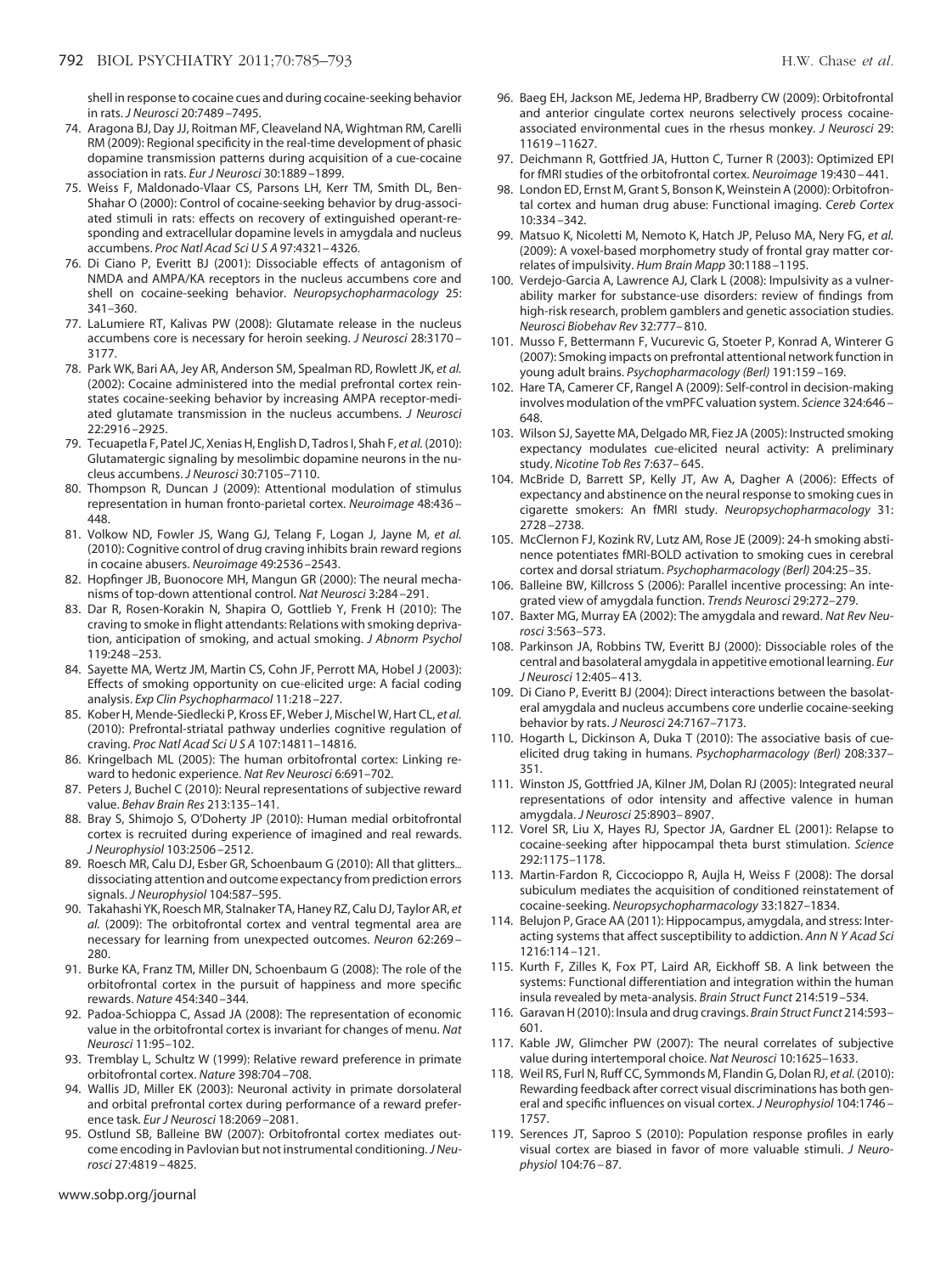shell in response to cocaine cues and during cocaine-seeking behavior in rats. *J Neurosci* 20:7489 –7495.

- 74. Aragona BJ, Day JJ, Roitman MF, Cleaveland NA, Wightman RM, Carelli RM (2009): Regional specificity in the real-time development of phasic dopamine transmission patterns during acquisition of a cue-cocaine association in rats. *Eur J Neurosci* 30:1889 –1899.
- <span id="page-7-0"></span>75. Weiss F, Maldonado-Vlaar CS, Parsons LH, Kerr TM, Smith DL, Ben-Shahar O (2000): Control of cocaine-seeking behavior by drug-associated stimuli in rats: effects on recovery of extinguished operant-responding and extracellular dopamine levels in amygdala and nucleus accumbens. *Proc Natl Acad SciUSA* 97:4321– 4326.
- <span id="page-7-1"></span>76. Di Ciano P, Everitt BJ (2001): Dissociable effects of antagonism of NMDA and AMPA/KA receptors in the nucleus accumbens core and shell on cocaine-seeking behavior. *Neuropsychopharmacology* 25: 341–360.
- 77. LaLumiere RT, Kalivas PW (2008): Glutamate release in the nucleus accumbens core is necessary for heroin seeking. *J Neurosci* 28:3170 – 3177.
- <span id="page-7-2"></span>78. Park WK, Bari AA, Jey AR, Anderson SM, Spealman RD, Rowlett JK, *et al.* (2002): Cocaine administered into the medial prefrontal cortex reinstates cocaine-seeking behavior by increasing AMPA receptor-mediated glutamate transmission in the nucleus accumbens. *J Neurosci* 22:2916 –2925.
- <span id="page-7-3"></span>79. Tecuapetla F, Patel JC, Xenias H, English D, Tadros I, Shah F, *et al.* (2010): Glutamatergic signaling by mesolimbic dopamine neurons in the nucleus accumbens. *J Neurosci* 30:7105–7110.
- <span id="page-7-4"></span>80. Thompson R, Duncan J (2009): Attentional modulation of stimulus representation in human fronto-parietal cortex. *Neuroimage* 48:436 – 448.
- <span id="page-7-5"></span>81. Volkow ND, Fowler JS, Wang GJ, Telang F, Logan J, Jayne M, *et al.* (2010): Cognitive control of drug craving inhibits brain reward regions in cocaine abusers. *Neuroimage* 49:2536 –2543.
- <span id="page-7-7"></span><span id="page-7-6"></span>82. Hopfinger JB, Buonocore MH, Mangun GR (2000): The neural mechanisms of top-down attentional control. *Nat Neurosci* 3:284 –291.
- 83. Dar R, Rosen-Korakin N, Shapira O, Gottlieb Y, Frenk H (2010): The craving to smoke in flight attendants: Relations with smoking deprivation, anticipation of smoking, and actual smoking. *J Abnorm Psychol* 119:248 –253.
- 84. Sayette MA, Wertz JM, Martin CS, Cohn JF, Perrott MA, Hobel J (2003): Effects of smoking opportunity on cue-elicited urge: A facial coding analysis. *Exp Clin Psychopharmacol* 11:218 –227.
- <span id="page-7-9"></span><span id="page-7-8"></span>85. Kober H, Mende-Siedlecki P, Kross EF, Weber J, Mischel W, Hart CL, *et al.* (2010): Prefrontal-striatal pathway underlies cognitive regulation of craving. *Proc Natl Acad SciUSA* 107:14811–14816.
- 86. Kringelbach ML (2005): The human orbitofrontal cortex: Linking reward to hedonic experience. *Nat Rev Neurosci* 6:691–702.
- <span id="page-7-10"></span>87. Peters J, Buchel C (2010): Neural representations of subjective reward value. *Behav Brain Res* 213:135–141.
- 88. Bray S, Shimojo S, O'Doherty JP (2010): Human medial orbitofrontal cortex is recruited during experience of imagined and real rewards. *J Neurophysiol* 103:2506 –2512.
- <span id="page-7-11"></span>89. Roesch MR, Calu DJ, Esber GR, Schoenbaum G (2010): All that glitters... dissociating attention and outcome expectancyfrom prediction errors signals. *J Neurophysiol* 104:587–595.
- 90. Takahashi YK, Roesch MR, Stalnaker TA, Haney RZ, Calu DJ, Taylor AR, *et al.* (2009): The orbitofrontal cortex and ventral tegmental area are necessary for learning from unexpected outcomes. *Neuron* 62:269 – 280.
- 91. Burke KA, Franz TM, Miller DN, Schoenbaum G (2008): The role of the orbitofrontal cortex in the pursuit of happiness and more specific rewards. *Nature* 454:340 –344.
- 92. Padoa-Schioppa C, Assad JA (2008): The representation of economic value in the orbitofrontal cortex is invariant for changes of menu. *Nat Neurosci* 11:95–102.
- 93. Tremblay L, Schultz W (1999): Relative reward preference in primate orbitofrontal cortex. *Nature* 398:704 –708.
- <span id="page-7-12"></span>94. Wallis JD, Miller EK (2003): Neuronal activity in primate dorsolateral and orbital prefrontal cortex during performance of a reward preference task. *Eur J Neurosci* 18:2069 –2081.
- 95. Ostlund SB, Balleine BW (2007): Orbitofrontal cortex mediates outcome encoding in Pavlovian but not instrumental conditioning.*J Neurosci* 27:4819 – 4825.
- <span id="page-7-13"></span>96. Baeg EH, Jackson ME, Jedema HP, Bradberry CW (2009): Orbitofrontal and anterior cingulate cortex neurons selectively process cocaineassociated environmental cues in the rhesus monkey. *J Neurosci* 29: 11619 –11627.
- <span id="page-7-15"></span><span id="page-7-14"></span>97. Deichmann R, Gottfried JA, Hutton C, Turner R (2003): Optimized EPI for fMRI studies of the orbitofrontal cortex. *Neuroimage* 19:430 – 441.
- 98. London ED, Ernst M, Grant S, Bonson K, Weinstein A (2000): Orbitofrontal cortex and human drug abuse: Functional imaging. *Cereb Cortex* 10:334 –342.
- <span id="page-7-16"></span>99. Matsuo K, Nicoletti M, Nemoto K, Hatch JP, Peluso MA, Nery FG, *et al.* (2009): A voxel-based morphometry study of frontal gray matter correlates of impulsivity. *Hum Brain Mapp* 30:1188 –1195.
- 100. Verdejo-Garcia A, Lawrence AJ, Clark L (2008): Impulsivity as a vulnerability marker for substance-use disorders: review of findings from high-risk research, problem gamblers and genetic association studies. *Neurosci Biobehav Rev* 32:777– 810.
- <span id="page-7-17"></span>101. Musso F, Bettermann F, Vucurevic G, Stoeter P, Konrad A, Winterer G (2007): Smoking impacts on prefrontal attentional network function in young adult brains. *Psychopharmacology (Berl)* 191:159 –169.
- <span id="page-7-18"></span>102. Hare TA, Camerer CF, Rangel A (2009): Self-control in decision-making involves modulation of the vmPFC valuation system. *Science* 324:646 – 648.
- <span id="page-7-19"></span>103. Wilson SJ, Sayette MA, Delgado MR, Fiez JA (2005): Instructed smoking expectancy modulates cue-elicited neural activity: A preliminary study. *Nicotine Tob Res* 7:637– 645.
- 104. McBride D, Barrett SP, Kelly JT, Aw A, Dagher A (2006): Effects of expectancy and abstinence on the neural response to smoking cues in cigarette smokers: An fMRI study. *Neuropsychopharmacology* 31: 2728 –2738.
- <span id="page-7-20"></span>105. McClernon FJ, Kozink RV, Lutz AM, Rose JE (2009): 24-h smoking abstinence potentiates fMRI-BOLD activation to smoking cues in cerebral cortex and dorsal striatum. *Psychopharmacology (Berl)* 204:25–35.
- <span id="page-7-21"></span>106. Balleine BW, Killcross S (2006): Parallel incentive processing: An integrated view of amygdala function. *Trends Neurosci* 29:272–279.
- 107. Baxter MG, Murray EA (2002): The amygdala and reward. *Nat Rev Neurosci* 3:563–573.
- 108. Parkinson JA, Robbins TW, Everitt BJ (2000): Dissociable roles of the central and basolateral amygdala in appetitive emotional learning. *Eur J Neurosci* 12:405– 413.
- <span id="page-7-22"></span>109. Di Ciano P, Everitt BJ (2004): Direct interactions between the basolateral amygdala and nucleus accumbens core underlie cocaine-seeking behavior by rats. *J Neurosci* 24:7167–7173.
- <span id="page-7-23"></span>110. Hogarth L, Dickinson A, Duka T (2010): The associative basis of cueelicited drug taking in humans. *Psychopharmacology (Berl)* 208:337– 351.
- <span id="page-7-24"></span>111. Winston JS, Gottfried JA, Kilner JM, Dolan RJ (2005): Integrated neural representations of odor intensity and affective valence in human amygdala. *J Neurosci* 25:8903– 8907.
- <span id="page-7-25"></span>112. Vorel SR, Liu X, Hayes RJ, Spector JA, Gardner EL (2001): Relapse to cocaine-seeking after hippocampal theta burst stimulation. *Science* 292:1175–1178.
- <span id="page-7-27"></span><span id="page-7-26"></span>113. Martin-Fardon R, Ciccocioppo R, Aujla H, Weiss F (2008): The dorsal subiculum mediates the acquisition of conditioned reinstatement of cocaine-seeking. *Neuropsychopharmacology* 33:1827–1834.
- 114. Belujon P, Grace AA (2011): Hippocampus, amygdala, and stress: Interacting systems that affect susceptibility to addiction. *Ann N Y Acad Sci* 1216:114 –121.
- <span id="page-7-29"></span><span id="page-7-28"></span>115. Kurth F, Zilles K, Fox PT, Laird AR, Eickhoff SB. A link between the systems: Functional differentiation and integration within the human insula revealed by meta-analysis. *Brain Struct Funct* 214:519 –534.
- <span id="page-7-30"></span>116. Garavan H (2010): Insula and drug cravings. *Brain Struct Funct* 214:593– 601.
- <span id="page-7-31"></span>117. Kable JW, Glimcher PW (2007): The neural correlates of subjective value during intertemporal choice. *Nat Neurosci* 10:1625–1633.
- 118. Weil RS, Furl N, Ruff CC, Symmonds M, Flandin G, Dolan RJ, *et al.* (2010): Rewarding feedback after correct visual discriminations has both general and specific influences on visual cortex. *J Neurophysiol* 104:1746 – 1757.
- 119. Serences JT, Saproo S (2010): Population response profiles in early visual cortex are biased in favor of more valuable stimuli. *J Neurophysiol* 104:76 – 87.